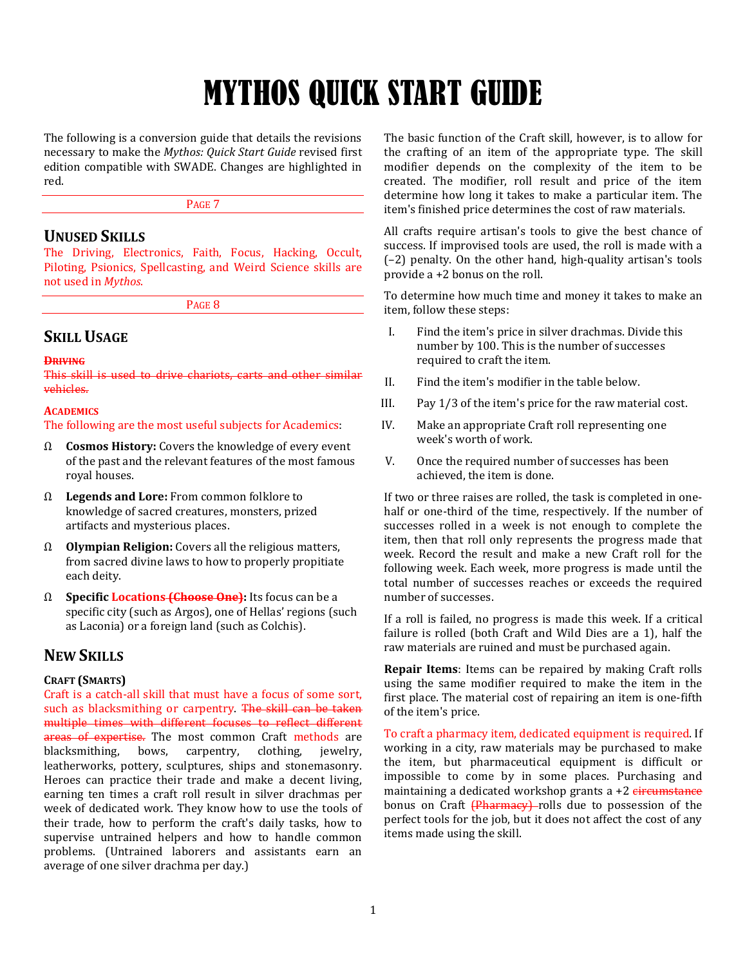# MYTHOS QUICK START GUIDE

The following is a conversion guide that details the revisions necessary to make the *Mythos: Quick Start Guide* revised first edition compatible with SWADE. Changes are highlighted in red.

PAGE 7

## **UNUSED SKILLS**

The Driving, Electronics, Faith, Focus, Hacking, Occult, Piloting, Psionics, Spellcasting, and Weird Science skills are not used in *Mythos*.

PAGE 8

## **SKILL USAGE**

#### **DRIVING**

This skill is used to drive chariots, carts and other similar vehicles.

## **ACADEMICS**

The following are the most useful subjects for Academics:

- Ω **Cosmos History:** Covers the knowledge of every event of the past and the relevant features of the most famous royal houses.
- Ω **Legends and Lore:** From common folklore to knowledge of sacred creatures, monsters, prized artifacts and mysterious places.
- Ω **Olympian Religion:** Covers all the religious matters, from sacred divine laws to how to properly propitiate each deity.
- Ω **Specific Locations (Choose One):** Its focus can be a specific city (such as Argos), one of Hellas' regions (such as Laconia) or a foreign land (such as Colchis).

## **NEW SKILLS**

## **CRAFT (SMARTS)**

Craft is a catch-all skill that must have a focus of some sort, such as blacksmithing or carpentry. The skill can be taken multiple times with different focuses to reflect different areas of expertise. The most common Craft methods are blacksmithing, bows, carpentry, clothing, jewelry, leatherworks, pottery, sculptures, ships and stonemasonry. Heroes can practice their trade and make a decent living, earning ten times a craft roll result in silver drachmas per week of dedicated work. They know how to use the tools of their trade, how to perform the craft's daily tasks, how to supervise untrained helpers and how to handle common problems. (Untrained laborers and assistants earn an average of one silver drachma per day.)

The basic function of the Craft skill, however, is to allow for the crafting of an item of the appropriate type. The skill modifier depends on the complexity of the item to be created. The modifier, roll result and price of the item determine how long it takes to make a particular item. The item's finished price determines the cost of raw materials.

All crafts require artisan's tools to give the best chance of success. If improvised tools are used, the roll is made with a (–2) penalty. On the other hand, high-quality artisan's tools provide a +2 bonus on the roll.

To determine how much time and money it takes to make an item, follow these steps:

- I. Find the item's price in silver drachmas. Divide this number by 100. This is the number of successes required to craft the item.
- II. Find the item's modifier in the table below.
- III. Pay 1/3 of the item's price for the raw material cost.
- IV. Make an appropriate Craft roll representing one week's worth of work.
- V. Once the required number of successes has been achieved, the item is done.

If two or three raises are rolled, the task is completed in onehalf or one-third of the time, respectively. If the number of successes rolled in a week is not enough to complete the item, then that roll only represents the progress made that week. Record the result and make a new Craft roll for the following week. Each week, more progress is made until the total number of successes reaches or exceeds the required number of successes.

If a roll is failed, no progress is made this week. If a critical failure is rolled (both Craft and Wild Dies are a 1), half the raw materials are ruined and must be purchased again.

**Repair Items**: Items can be repaired by making Craft rolls using the same modifier required to make the item in the first place. The material cost of repairing an item is one-fifth of the item's price.

To craft a pharmacy item, dedicated equipment is required. If working in a city, raw materials may be purchased to make the item, but pharmaceutical equipment is difficult or impossible to come by in some places. Purchasing and maintaining a dedicated workshop grants  $a + 2$  circumstance bonus on Craft (Pharmacy)-rolls due to possession of the perfect tools for the job, but it does not affect the cost of any items made using the skill.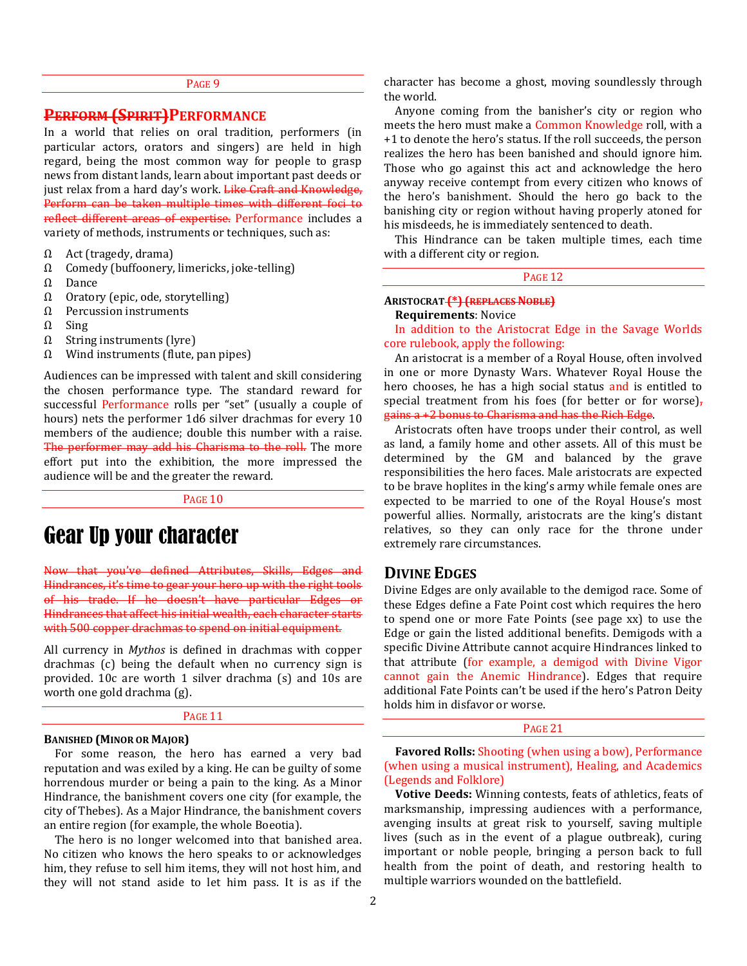#### PAGE 9

## **PERFORM (SPIRIT)PERFORMANCE**

In a world that relies on oral tradition, performers (in particular actors, orators and singers) are held in high regard, being the most common way for people to grasp news from distant lands, learn about important past deeds or just relax from a hard day's work. Like Craft and Knowledge, Perform can be taken multiple times with different foci to reflect different areas of expertise. Performance includes a variety of methods, instruments or techniques, such as:

- $\Omega$  Act (tragedy, drama)
- Ω Comedy (buffoonery, limericks, joke-telling)
- Ω Dance
- Ω Oratory (epic, ode, storytelling)
- Ω Percussion instruments
- Ω Sing
- Ω String instruments (lyre)
- Ω Wind instruments (flute, pan pipes)

Audiences can be impressed with talent and skill considering the chosen performance type. The standard reward for successful Performance rolls per "set" (usually a couple of hours) nets the performer 1d6 silver drachmas for every 10 members of the audience; double this number with a raise. The performer may add his Charisma to the roll. The more effort put into the exhibition, the more impressed the audience will be and the greater the reward.

PAGE 10

## Gear Up your character

Now that you've defined Attributes, Skills, Edges and Hindrances, it's time to gear your hero up with the right tools of his trade. If he doesn't have particular Edges or Hindrances that affect his initial wealth, each character starts with 500 copper drachmas to spend on initial equipment.

All currency in *Mythos* is defined in drachmas with copper drachmas (c) being the default when no currency sign is provided. 10c are worth 1 silver drachma (s) and 10s are worth one gold drachma (g).

#### PAGE 11

#### **BANISHED (MINOR OR MAJOR)**

For some reason, the hero has earned a very bad reputation and was exiled by a king. He can be guilty of some horrendous murder or being a pain to the king. As a Minor Hindrance, the banishment covers one city (for example, the city of Thebes). As a Major Hindrance, the banishment covers an entire region (for example, the whole Boeotia).

The hero is no longer welcomed into that banished area. No citizen who knows the hero speaks to or acknowledges him, they refuse to sell him items, they will not host him, and they will not stand aside to let him pass. It is as if the character has become a ghost, moving soundlessly through the world.

Anyone coming from the banisher's city or region who meets the hero must make a Common Knowledge roll, with a +1 to denote the hero's status. If the roll succeeds, the person realizes the hero has been banished and should ignore him. Those who go against this act and acknowledge the hero anyway receive contempt from every citizen who knows of the hero's banishment. Should the hero go back to the banishing city or region without having properly atoned for his misdeeds, he is immediately sentenced to death.

This Hindrance can be taken multiple times, each time with a different city or region.

PAGE 12

#### **ARISTOCRAT (\*) (REPLACES NOBLE)**

#### **Requirements**: Novice

In addition to the Aristocrat Edge in the Savage Worlds core rulebook, apply the following:

An aristocrat is a member of a Royal House, often involved in one or more Dynasty Wars. Whatever Royal House the hero chooses, he has a high social status and is entitled to special treatment from his foes (for better or for worse) $<sub>r</sub>$ </sub> gains a +2 bonus to Charisma and has the Rich Edge.

Aristocrats often have troops under their control, as well as land, a family home and other assets. All of this must be determined by the GM and balanced by the grave responsibilities the hero faces. Male aristocrats are expected to be brave hoplites in the king's army while female ones are expected to be married to one of the Royal House's most powerful allies. Normally, aristocrats are the king's distant relatives, so they can only race for the throne under extremely rare circumstances.

## **DIVINE EDGES**

Divine Edges are only available to the demigod race. Some of these Edges define a Fate Point cost which requires the hero to spend one or more Fate Points (see page xx) to use the Edge or gain the listed additional benefits. Demigods with a specific Divine Attribute cannot acquire Hindrances linked to that attribute (for example, a demigod with Divine Vigor cannot gain the Anemic Hindrance). Edges that require additional Fate Points can't be used if the hero's Patron Deity holds him in disfavor or worse.

#### PAGE 21

**Favored Rolls:** Shooting (when using a bow), Performance (when using a musical instrument), Healing, and Academics (Legends and Folklore)

**Votive Deeds:** Winning contests, feats of athletics, feats of marksmanship, impressing audiences with a performance, avenging insults at great risk to yourself, saving multiple lives (such as in the event of a plague outbreak), curing important or noble people, bringing a person back to full health from the point of death, and restoring health to multiple warriors wounded on the battlefield.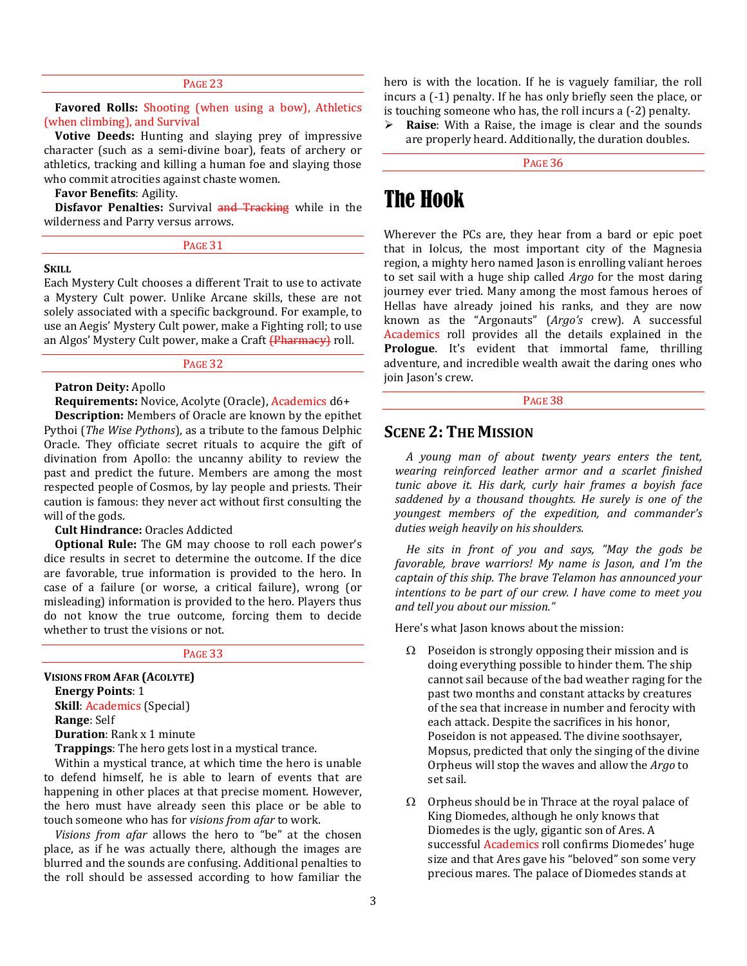#### PAGE 23

**Favored Rolls:** Shooting (when using a bow), Athletics (when climbing), and Survival

**Votive Deeds:** Hunting and slaying prey of impressive character (such as a semi-divine boar), feats of archery or athletics, tracking and killing a human foe and slaying those who commit atrocities against chaste women.

**Favor Benefits**: Agility.

**Disfavor Penalties:** Survival and Tracking while in the wilderness and Parry versus arrows.

| .,<br>. . | w<br>۰, |  |
|-----------|---------|--|

#### **SKILL**

Each Mystery Cult chooses a different Trait to use to activate a Mystery Cult power. Unlike Arcane skills, these are not solely associated with a specific background. For example, to use an Aegis' Mystery Cult power, make a Fighting roll; to use an Algos' Mystery Cult power, make a Craft (Pharmacy) roll.

## PAGE 32

#### **Patron Deity:** Apollo

**Requirements:** Novice, Acolyte (Oracle), Academics d6+

**Description:** Members of Oracle are known by the epithet Pythoi (*The Wise Pythons*), as a tribute to the famous Delphic Oracle. They officiate secret rituals to acquire the gift of divination from Apollo: the uncanny ability to review the past and predict the future. Members are among the most respected people of Cosmos, by lay people and priests. Their caution is famous: they never act without first consulting the will of the gods.

#### **Cult Hindrance:** Oracles Addicted

**Optional Rule:** The GM may choose to roll each power's dice results in secret to determine the outcome. If the dice are favorable, true information is provided to the hero. In case of a failure (or worse, a critical failure), wrong (or misleading) information is provided to the hero. Players thus do not know the true outcome, forcing them to decide whether to trust the visions or not.

#### PAGE 33

**VISIONS FROM AFAR (ACOLYTE) Energy Points**: 1

**Skill**: Academics (Special) **Range**: Self

**Duration**: Rank x 1 minute

**Trappings**: The hero gets lost in a mystical trance.

Within a mystical trance, at which time the hero is unable to defend himself, he is able to learn of events that are happening in other places at that precise moment. However, the hero must have already seen this place or be able to touch someone who has for *visions from afar* to work.

*Visions from afar* allows the hero to "be" at the chosen place, as if he was actually there, although the images are blurred and the sounds are confusing. Additional penalties to the roll should be assessed according to how familiar the

hero is with the location. If he is vaguely familiar, the roll incurs a (-1) penalty. If he has only briefly seen the place, or is touching someone who has, the roll incurs a (-2) penalty.

 **Raise**: With a Raise, the image is clear and the sounds are properly heard. Additionally, the duration doubles.

PAGE 36

## The Hook

Wherever the PCs are, they hear from a bard or epic poet that in Iolcus, the most important city of the Magnesia region, a mighty hero named Jason is enrolling valiant heroes to set sail with a huge ship called *Argo* for the most daring journey ever tried. Many among the most famous heroes of Hellas have already joined his ranks, and they are now known as the "Argonauts" (*Argo's* crew). A successful Academics roll provides all the details explained in the **Prologue**. It's evident that immortal fame, thrilling adventure, and incredible wealth await the daring ones who join Jason's crew.

## PAGE 38

## **SCENE 2: THE MISSION**

*A young man of about twenty years enters the tent, wearing reinforced leather armor and a scarlet finished tunic above it. His dark, curly hair frames a boyish face saddened by a thousand thoughts. He surely is one of the youngest members of the expedition, and commander's duties weigh heavily on his shoulders.*

*He sits in front of you and says, "May the gods be favorable, brave warriors! My name is Jason, and I'm the captain of this ship. The brave Telamon has announced your intentions to be part of our crew. I have come to meet you and tell you about our mission."*

Here's what Jason knows about the mission:

- $\Omega$  Poseidon is strongly opposing their mission and is doing everything possible to hinder them. The ship cannot sail because of the bad weather raging for the past two months and constant attacks by creatures of the sea that increase in number and ferocity with each attack. Despite the sacrifices in his honor, Poseidon is not appeased. The divine soothsayer, Mopsus, predicted that only the singing of the divine Orpheus will stop the waves and allow the *Argo* to set sail.
- $\Omega$  Orpheus should be in Thrace at the royal palace of King Diomedes, although he only knows that Diomedes is the ugly, gigantic son of Ares. A successful Academics roll confirms Diomedes' huge size and that Ares gave his "beloved" son some very precious mares. The palace of Diomedes stands at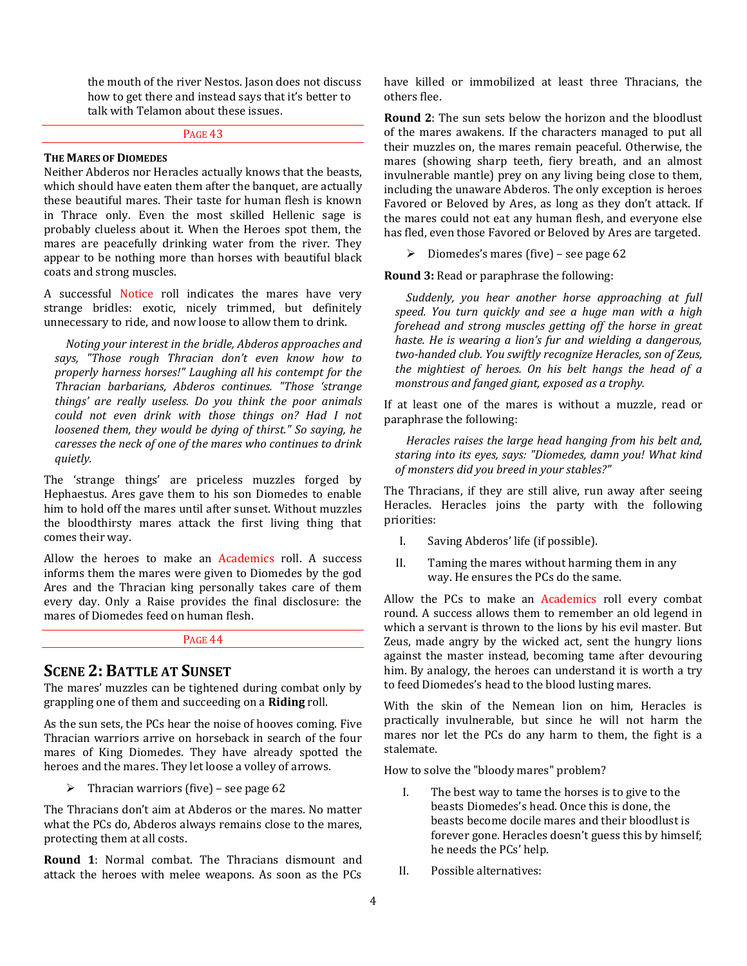the mouth of the river Nestos. Jason does not discuss how to get there and instead says that it's better to talk with Telamon about these issues.

#### PAGE 43

#### **THE MARES OF DIOMEDES**

Neither Abderos nor Heracles actually knows that the beasts, which should have eaten them after the banquet, are actually these beautiful mares. Their taste for human flesh is known in Thrace only. Even the most skilled Hellenic sage is probably clueless about it. When the Heroes spot them, the mares are peacefully drinking water from the river. They appear to be nothing more than horses with beautiful black coats and strong muscles.

A successful Notice roll indicates the mares have very strange bridles: exotic, nicely trimmed, but definitely unnecessary to ride, and now loose to allow them to drink.

*Noting your interest in the bridle, Abderos approaches and says, "Those rough Thracian don't even know how to properly harness horses!" Laughing all his contempt for the Thracian barbarians, Abderos continues. "Those 'strange things' are really useless. Do you think the poor animals could not even drink with those things on? Had I not loosened them, they would be dying of thirst." So saying, he caresses the neck of one of the mares who continues to drink quietly.*

The 'strange things' are priceless muzzles forged by Hephaestus. Ares gave them to his son Diomedes to enable him to hold off the mares until after sunset. Without muzzles the bloodthirsty mares attack the first living thing that comes their way.

Allow the heroes to make an Academics roll. A success informs them the mares were given to Diomedes by the god Ares and the Thracian king personally takes care of them every day. Only a Raise provides the final disclosure: the mares of Diomedes feed on human flesh.

#### PAGE 44

## **SCENE 2: BATTLE AT SUNSET**

The mares' muzzles can be tightened during combat only by grappling one of them and succeeding on a **Riding** roll.

As the sun sets, the PCs hear the noise of hooves coming. Five Thracian warriors arrive on horseback in search of the four mares of King Diomedes. They have already spotted the heroes and the mares. They let loose a volley of arrows.

 $\triangleright$  Thracian warriors (five) – see page 62

The Thracians don't aim at Abderos or the mares. No matter what the PCs do, Abderos always remains close to the mares, protecting them at all costs.

**Round 1**: Normal combat. The Thracians dismount and attack the heroes with melee weapons. As soon as the PCs

have killed or immobilized at least three Thracians, the others flee.

**Round 2**: The sun sets below the horizon and the bloodlust of the mares awakens. If the characters managed to put all their muzzles on, the mares remain peaceful. Otherwise, the mares (showing sharp teeth, fiery breath, and an almost invulnerable mantle) prey on any living being close to them, including the unaware Abderos. The only exception is heroes Favored or Beloved by Ares, as long as they don't attack. If the mares could not eat any human flesh, and everyone else has fled, even those Favored or Beloved by Ares are targeted.

 $\triangleright$  Diomedes's mares (five) – see page 62

**Round 3:** Read or paraphrase the following:

*Suddenly, you hear another horse approaching at full speed. You turn quickly and see a huge man with a high forehead and strong muscles getting off the horse in great haste. He is wearing a lion's fur and wielding a dangerous, two-handed club. You swiftly recognize Heracles, son of Zeus, the mightiest of heroes. On his belt hangs the head of a monstrous and fanged giant, exposed as a trophy.* 

If at least one of the mares is without a muzzle, read or paraphrase the following:

*Heracles raises the large head hanging from his belt and, staring into its eyes, says: "Diomedes, damn you! What kind of monsters did you breed in your stables?"* 

The Thracians, if they are still alive, run away after seeing Heracles. Heracles joins the party with the following priorities:

- I. Saving Abderos' life (if possible).
- II. Taming the mares without harming them in any way. He ensures the PCs do the same.

Allow the PCs to make an Academics roll every combat round. A success allows them to remember an old legend in which a servant is thrown to the lions by his evil master. But Zeus, made angry by the wicked act, sent the hungry lions against the master instead, becoming tame after devouring him. By analogy, the heroes can understand it is worth a try to feed Diomedes's head to the blood lusting mares.

With the skin of the Nemean lion on him, Heracles is practically invulnerable, but since he will not harm the mares nor let the PCs do any harm to them, the fight is a stalemate.

How to solve the "bloody mares" problem?

- I. The best way to tame the horses is to give to the beasts Diomedes's head. Once this is done, the beasts become docile mares and their bloodlust is forever gone. Heracles doesn't guess this by himself; he needs the PCs' help.
- II. Possible alternatives: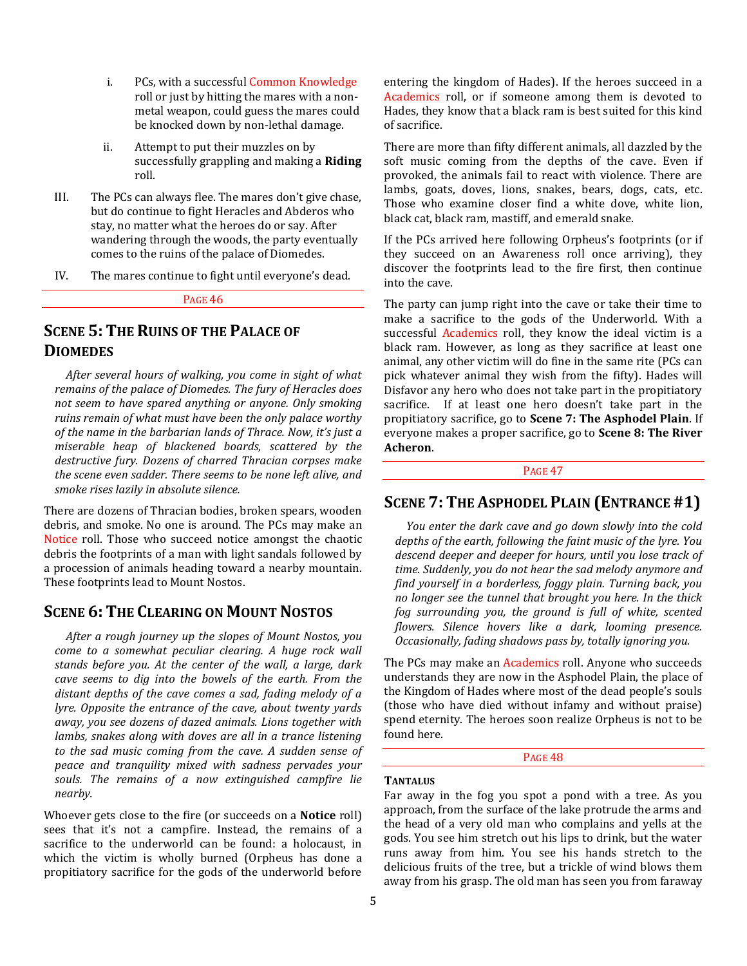- i. PCs, with a successful Common Knowledge roll or just by hitting the mares with a nonmetal weapon, could guess the mares could be knocked down by non-lethal damage.
- ii. Attempt to put their muzzles on by successfully grappling and making a **Riding** roll.
- III. The PCs can always flee. The mares don't give chase, but do continue to fight Heracles and Abderos who stay, no matter what the heroes do or say. After wandering through the woods, the party eventually comes to the ruins of the palace of Diomedes.
- IV. The mares continue to fight until everyone's dead.

PAGE 46

## **SCENE 5: THE RUINS OF THE PALACE OF DIOMEDES**

*After several hours of walking, you come in sight of what remains of the palace of Diomedes. The fury of Heracles does not seem to have spared anything or anyone. Only smoking ruins remain of what must have been the only palace worthy of the name in the barbarian lands of Thrace. Now, it's just a miserable heap of blackened boards, scattered by the destructive fury. Dozens of charred Thracian corpses make the scene even sadder. There seems to be none left alive, and smoke rises lazily in absolute silence.*

There are dozens of Thracian bodies, broken spears, wooden debris, and smoke. No one is around. The PCs may make an Notice roll. Those who succeed notice amongst the chaotic debris the footprints of a man with light sandals followed by a procession of animals heading toward a nearby mountain. These footprints lead to Mount Nostos.

## **SCENE 6: THE CLEARING ON MOUNT NOSTOS**

*After a rough journey up the slopes of Mount Nostos, you come to a somewhat peculiar clearing. A huge rock wall stands before you. At the center of the wall, a large, dark cave seems to dig into the bowels of the earth. From the distant depths of the cave comes a sad, fading melody of a lyre. Opposite the entrance of the cave, about twenty yards away, you see dozens of dazed animals. Lions together with lambs, snakes along with doves are all in a trance listening to the sad music coming from the cave. A sudden sense of peace and tranquility mixed with sadness pervades your souls. The remains of a now extinguished campfire lie nearby.*

Whoever gets close to the fire (or succeeds on a **Notice** roll) sees that it's not a campfire. Instead, the remains of a sacrifice to the underworld can be found: a holocaust, in which the victim is wholly burned (Orpheus has done a propitiatory sacrifice for the gods of the underworld before entering the kingdom of Hades). If the heroes succeed in a Academics roll, or if someone among them is devoted to Hades, they know that a black ram is best suited for this kind of sacrifice.

There are more than fifty different animals, all dazzled by the soft music coming from the depths of the cave. Even if provoked, the animals fail to react with violence. There are lambs, goats, doves, lions, snakes, bears, dogs, cats, etc. Those who examine closer find a white dove, white lion, black cat, black ram, mastiff, and emerald snake.

If the PCs arrived here following Orpheus's footprints (or if they succeed on an Awareness roll once arriving), they discover the footprints lead to the fire first, then continue into the cave.

The party can jump right into the cave or take their time to make a sacrifice to the gods of the Underworld. With a successful Academics roll, they know the ideal victim is a black ram. However, as long as they sacrifice at least one animal, any other victim will do fine in the same rite (PCs can pick whatever animal they wish from the fifty). Hades will Disfavor any hero who does not take part in the propitiatory sacrifice. If at least one hero doesn't take part in the propitiatory sacrifice, go to **Scene 7: The Asphodel Plain**. If everyone makes a proper sacrifice, go to **Scene 8: The River Acheron**.

## PAGE<sub>47</sub>

## **SCENE 7: THE ASPHODEL PLAIN (ENTRANCE #1)**

*You enter the dark cave and go down slowly into the cold depths of the earth, following the faint music of the lyre. You descend deeper and deeper for hours, until you lose track of time. Suddenly, you do not hear the sad melody anymore and find yourself in a borderless, foggy plain. Turning back, you no longer see the tunnel that brought you here. In the thick fog surrounding you, the ground is full of white, scented flowers. Silence hovers like a dark, looming presence. Occasionally, fading shadows pass by, totally ignoring you.* 

The PCs may make an Academics roll. Anyone who succeeds understands they are now in the Asphodel Plain, the place of the Kingdom of Hades where most of the dead people's souls (those who have died without infamy and without praise) spend eternity. The heroes soon realize Orpheus is not to be found here.

PAGE 48

#### **TANTALUS**

Far away in the fog you spot a pond with a tree. As you approach, from the surface of the lake protrude the arms and the head of a very old man who complains and yells at the gods. You see him stretch out his lips to drink, but the water runs away from him. You see his hands stretch to the delicious fruits of the tree, but a trickle of wind blows them away from his grasp. The old man has seen you from faraway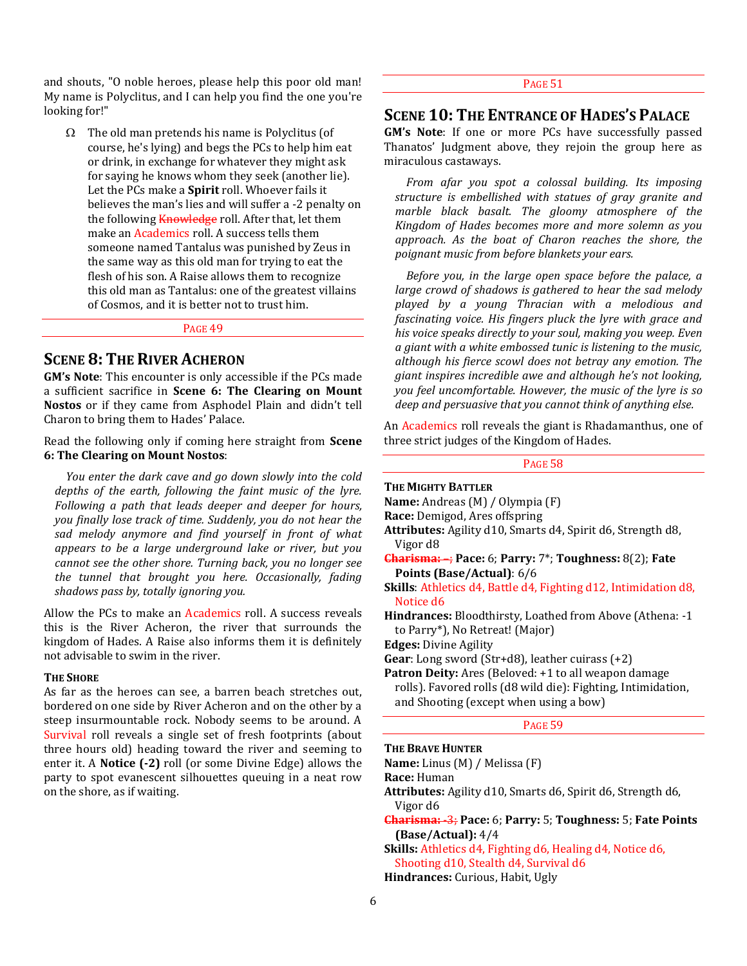and shouts, "O noble heroes, please help this poor old man! My name is Polyclitus, and I can help you find the one you're looking for!"

 $\Omega$  The old man pretends his name is Polyclitus (of course, he's lying) and begs the PCs to help him eat or drink, in exchange for whatever they might ask for saying he knows whom they seek (another lie). Let the PCs make a **Spirit** roll. Whoever fails it believes the man's lies and will suffer a -2 penalty on the following Knowledge roll. After that, let them make an Academics roll. A success tells them someone named Tantalus was punished by Zeus in the same way as this old man for trying to eat the flesh of his son. A Raise allows them to recognize this old man as Tantalus: one of the greatest villains of Cosmos, and it is better not to trust him.

PAGE 49

## **SCENE 8: THE RIVER ACHERON**

**GM's Note**: This encounter is only accessible if the PCs made a sufficient sacrifice in **Scene 6: The Clearing on Mount Nostos** or if they came from Asphodel Plain and didn't tell Charon to bring them to Hades' Palace.

Read the following only if coming here straight from **Scene 6: The Clearing on Mount Nostos**:

*You enter the dark cave and go down slowly into the cold depths of the earth, following the faint music of the lyre. Following a path that leads deeper and deeper for hours, you finally lose track of time. Suddenly, you do not hear the sad melody anymore and find yourself in front of what appears to be a large underground lake or river, but you cannot see the other shore. Turning back, you no longer see the tunnel that brought you here. Occasionally, fading shadows pass by, totally ignoring you.* 

Allow the PCs to make an Academics roll. A success reveals this is the River Acheron, the river that surrounds the kingdom of Hades. A Raise also informs them it is definitely not advisable to swim in the river.

## **THE SHORE**

As far as the heroes can see, a barren beach stretches out, bordered on one side by River Acheron and on the other by a steep insurmountable rock. Nobody seems to be around. A Survival roll reveals a single set of fresh footprints (about three hours old) heading toward the river and seeming to enter it. A **Notice (-2)** roll (or some Divine Edge) allows the party to spot evanescent silhouettes queuing in a neat row on the shore, as if waiting.

## PAGE 51

## **SCENE 10: THE ENTRANCE OF HADES'S PALACE**

**GM's Note**: If one or more PCs have successfully passed Thanatos' Judgment above, they rejoin the group here as miraculous castaways.

*From afar you spot a colossal building. Its imposing structure is embellished with statues of gray granite and marble black basalt. The gloomy atmosphere of the Kingdom of Hades becomes more and more solemn as you approach. As the boat of Charon reaches the shore, the poignant music from before blankets your ears.*

*Before you, in the large open space before the palace, a large crowd of shadows is gathered to hear the sad melody played by a young Thracian with a melodious and fascinating voice. His fingers pluck the lyre with grace and his voice speaks directly to your soul, making you weep. Even a giant with a white embossed tunic is listening to the music, although his fierce scowl does not betray any emotion. The giant inspires incredible awe and although he's not looking, you feel uncomfortable. However, the music of the lyre is so deep and persuasive that you cannot think of anything else.*

An Academics roll reveals the giant is Rhadamanthus, one of three strict judges of the Kingdom of Hades.

PAGE 58

#### **THE MIGHTY BATTLER**

**Name:** Andreas (M) / Olympia (F)

**Race:** Demigod, Ares offspring

- **Attributes:** Agility d10, Smarts d4, Spirit d6, Strength d8, Vigor d8
- **Charisma:** –; **Pace:** 6; **Parry:** 7\*; **Toughness:** 8(2); **Fate Points (Base/Actual)**: 6/6

**Skills**: Athletics d4, Battle d4, Fighting d12, Intimidation d8, Notice d6

**Hindrances:** Bloodthirsty, Loathed from Above (Athena: -1 to Parry\*), No Retreat! (Major)

**Edges:** Divine Agility

**Gear**: Long sword (Str+d8), leather cuirass (+2)

**Patron Deity:** Ares (Beloved: +1 to all weapon damage rolls). Favored rolls (d8 wild die): Fighting, Intimidation, and Shooting (except when using a bow)

PAGE 59

#### **THE BRAVE HUNTER**

**Name:** Linus (M) / Melissa (F)

**Race:** Human

- **Attributes:** Agility d10, Smarts d6, Spirit d6, Strength d6, Vigor d6
- **Charisma:** -3; **Pace:** 6; **Parry:** 5; **Toughness:** 5; **Fate Points (Base/Actual):** 4/4

**Skills:** Athletics d4, Fighting d6, Healing d4, Notice d6, Shooting d10, Stealth d4, Survival d6

**Hindrances:** Curious, Habit, Ugly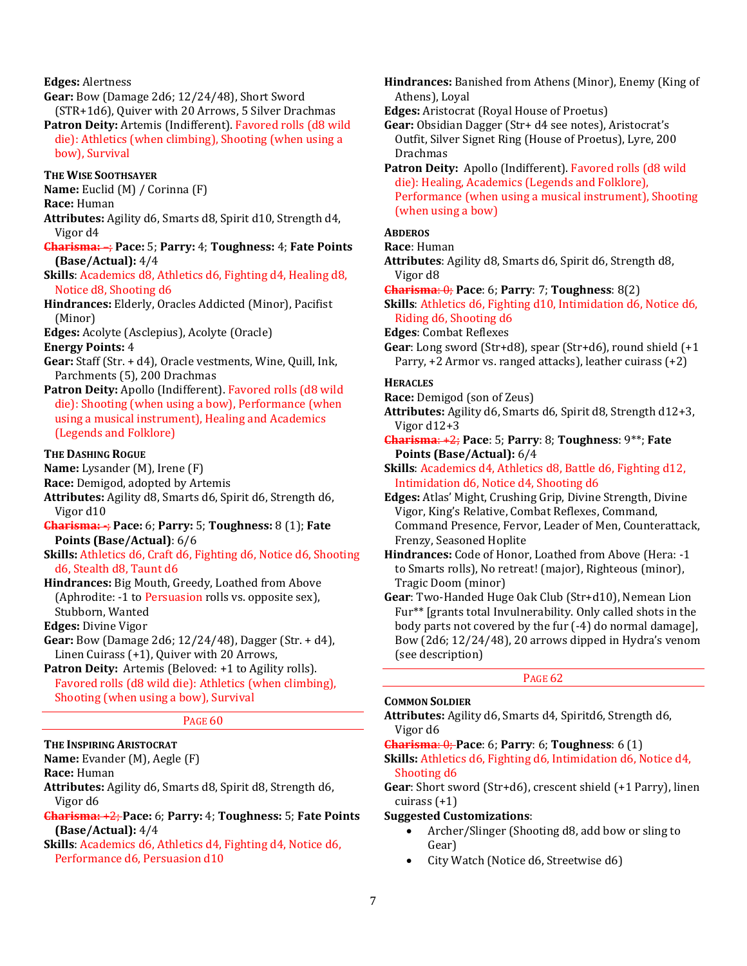#### **Edges:** Alertness

**Gear:** Bow (Damage 2d6; 12/24/48), Short Sword (STR+1d6), Quiver with 20 Arrows, 5 Silver Drachmas

**Patron Deity:** Artemis (Indifferent). Favored rolls (d8 wild die): Athletics (when climbing), Shooting (when using a bow), Survival

## **THE WISE SOOTHSAYER**

**Name:** Euclid (M) / Corinna (F)

**Race:** Human

**Attributes:** Agility d6, Smarts d8, Spirit d10, Strength d4, Vigor d4

**Charisma:** –; **Pace:** 5; **Parry:** 4; **Toughness:** 4; **Fate Points (Base/Actual):** 4/4

**Skills**: Academics d8, Athletics d6, Fighting d4, Healing d8, Notice d8, Shooting d6

**Hindrances:** Elderly, Oracles Addicted (Minor), Pacifist (Minor)

**Edges:** Acolyte (Asclepius), Acolyte (Oracle)

#### **Energy Points:** 4

- **Gear:** Staff (Str. + d4), Oracle vestments, Wine, Quill, Ink, Parchments (5), 200 Drachmas
- Patron Deity: Apollo (Indifferent). Favored rolls (d8 wild die): Shooting (when using a bow), Performance (when using a musical instrument), Healing and Academics (Legends and Folklore)

#### **THE DASHING ROGUE**

**Name:** Lysander (M), Irene (F)

**Race:** Demigod, adopted by Artemis

- **Attributes:** Agility d8, Smarts d6, Spirit d6, Strength d6, Vigor d10
- **Charisma: -**; **Pace:** 6; **Parry:** 5; **Toughness:** 8 (1); **Fate Points (Base/Actual)**: 6/6
- **Skills:** Athletics d6, Craft d6, Fighting d6, Notice d6, Shooting d6, Stealth d8, Taunt d6
- **Hindrances:** Big Mouth, Greedy, Loathed from Above (Aphrodite: -1 to Persuasion rolls vs. opposite sex), Stubborn, Wanted

**Edges:** Divine Vigor

- **Gear:** Bow (Damage 2d6; 12/24/48), Dagger (Str. + d4), Linen Cuirass (+1), Quiver with 20 Arrows,
- Patron Deity: Artemis (Beloved: +1 to Agility rolls). Favored rolls (d8 wild die): Athletics (when climbing), Shooting (when using a bow), Survival

#### PAGE<sub>60</sub>

## **THE INSPIRING ARISTOCRAT**

**Name:** Evander (M), Aegle (F)

**Race:** Human

- **Attributes:** Agility d6, Smarts d8, Spirit d8, Strength d6, Vigor d6
- **Charisma:** +2; **Pace:** 6; **Parry:** 4; **Toughness:** 5; **Fate Points (Base/Actual):** 4/4
- **Skills**: Academics d6, Athletics d4, Fighting d4, Notice d6, Performance d6, Persuasion d10
- **Hindrances:** Banished from Athens (Minor), Enemy (King of Athens), Loyal
- **Edges:** Aristocrat (Royal House of Proetus)
- **Gear:** Obsidian Dagger (Str+ d4 see notes), Aristocrat's Outfit, Silver Signet Ring (House of Proetus), Lyre, 200 Drachmas

Patron Deity: Apollo (Indifferent). Favored rolls (d8 wild die): Healing, Academics (Legends and Folklore), Performance (when using a musical instrument), Shooting (when using a bow)

#### **ABDEROS**

- **Race**: Human
- **Attributes**: Agility d8, Smarts d6, Spirit d6, Strength d8, Vigor d8
- **Charisma**: 0; **Pace**: 6; **Parry**: 7; **Toughness**: 8(2)

**Skills**: Athletics d6, Fighting d10, Intimidation d6, Notice d6, Riding d6, Shooting d6

**Edges**: Combat Reflexes

**Gear**: Long sword (Str+d8), spear (Str+d6), round shield (+1 Parry, +2 Armor vs. ranged attacks), leather cuirass (+2)

#### **HERACLES**

**Race:** Demigod (son of Zeus)

**Attributes:** Agility d6, Smarts d6, Spirit d8, Strength d12+3, Vigor d12+3

**Charisma**: +2; **Pace**: 5; **Parry**: 8; **Toughness**: 9\*\*; **Fate Points (Base/Actual):** 6/4

**Skills**: Academics d4, Athletics d8, Battle d6, Fighting d12, Intimidation d6, Notice d4, Shooting d6

**Edges:** Atlas' Might, Crushing Grip, Divine Strength, Divine Vigor, King's Relative, Combat Reflexes, Command, Command Presence, Fervor, Leader of Men, Counterattack, Frenzy, Seasoned Hoplite

**Hindrances:** Code of Honor, Loathed from Above (Hera: -1 to Smarts rolls), No retreat! (major), Righteous (minor), Tragic Doom (minor)

**Gear**: Two-Handed Huge Oak Club (Str+d10), Nemean Lion Fur\*\* [grants total Invulnerability. Only called shots in the body parts not covered by the fur (-4) do normal damage], Bow (2d6; 12/24/48), 20 arrows dipped in Hydra's venom (see description)

PAGE 62

## **COMMON SOLDIER**

**Attributes:** Agility d6, Smarts d4, Spiritd6, Strength d6, Vigor d6

#### **Charisma**: 0; **Pace**: 6; **Parry**: 6; **Toughness**: 6 (1)

**Skills:** Athletics d6, Fighting d6, Intimidation d6, Notice d4, Shooting d6

**Gear**: Short sword (Str+d6), crescent shield (+1 Parry), linen cuirass (+1)

## **Suggested Customizations**:

- Archer/Slinger (Shooting d8, add bow or sling to Gear)
- City Watch (Notice d6, Streetwise d6)